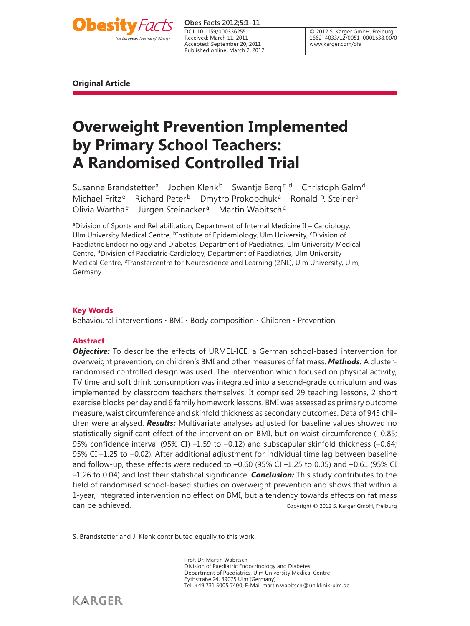

## **Obes Facts 2012;5:1–11**

Received: March 11, 2011 Accepted: September 20, 2011 Published online: March 2, 2012 DOI: 10.1159/000336255

© 2012 S. Karger GmbH, Freiburg 1662–4033/12/0051–0001\$38.00/0 www.karger.com/ofa

**Original Article** 

# **Overweight Prevention Implemented by Primary School Teachers: A Randomised Controlled Trial**

Susanne Brandstetter<sup>a</sup> Jochen Klenk<sup>b</sup> Swantje Berg<sup>c, d</sup> Christoph Galm<sup>d</sup> Michael Fritz<sup>e</sup> Richard Peter<sup>b</sup> Dmytro Prokopchuk<sup>a</sup> Ronald P. Steiner<sup>a</sup> Olivia Wartha<sup>e</sup> Jürgen Steinacker<sup>a</sup> Martin Wabitsch<sup>c</sup>

aDivision of Sports and Rehabilitation, Department of Internal Medicine II – Cardiology, Ulm University Medical Centre, <sup>b</sup>Institute of Epidemiology, Ulm University, <sup>c</sup>Division of Paediatric Endocrinology and Diabetes, Department of Paediatrics, Ulm University Medical Centre, <sup>d</sup>Division of Paediatric Cardiology, Department of Paediatrics, Ulm University Medical Centre, <sup>e</sup>Transfercentre for Neuroscience and Learning (ZNL), Ulm University, Ulm, Germany

# **Key Words**

Behavioural interventions  $\cdot$  BMI  $\cdot$  Body composition  $\cdot$  Children  $\cdot$  Prevention

# **Abstract**

*Objective:* To describe the effects of URMEL-ICE, a German school-based intervention for overweight prevention, on children's BMI and other measures of fat mass. *Methods:* A clusterrandomised controlled design was used. The intervention which focused on physical activity, TV time and soft drink consumption was integrated into a second-grade curriculum and was implemented by classroom teachers themselves. It comprised 29 teaching lessons, 2 short exercise blocks per day and 6 family homework lessons. BMI was assessed as primary outcome measure, waist circumference and skinfold thickness as secondary outcomes. Data of 945 children were analysed. *Results:* Multivariate analyses adjusted for baseline values showed no statistically significant effect of the intervention on BMI, but on waist circumference (–0.85; 95% confidence interval (95% CI) –1.59 to –0.12) and subscapular skinfold thickness (–0.64; 95% CI –1.25 to –0.02). After additional adjustment for individual time lag between baseline and follow-up, these effects were reduced to –0.60 (95% CI –1.25 to 0.05) and –0.61 (95% CI –1.26 to 0.04) and lost their statistical significance. *Conclusion:* This study contributes to the field of randomised school-based studies on overweight prevention and shows that within a 1-year, integrated intervention no effect on BMI, but a tendency towards effects on fat mass can be achieved. Copyright © 2012 S. Karger GmbH, Freiburg

S. Brandstetter and J. Klenk contributed equally to this work.

Prof. Dr. Martin Wabitsch Division of Paediatric Endocrinology and Diabetes Department of Paediatrics, Ulm University Medical Centre Eythstraße 24, 89075 Ulm (Germany) Tel. +49 731 5005 7400, E-Mail martin.wabitsch @ uniklinik-ulm.de

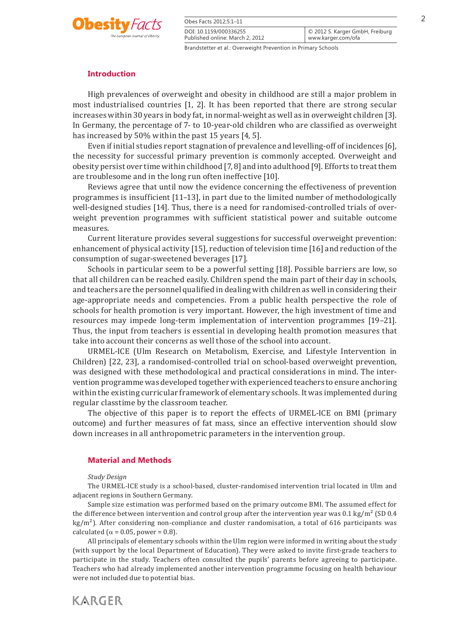

| Obes Facts 2012;5:1-11                                        |                                                       |
|---------------------------------------------------------------|-------------------------------------------------------|
| DOI: 10.1159/000336255<br>Published online: March 2, 2012     | © 2012 S. Karger GmbH, Freiburg<br>www.karger.com/ofa |
| Brandstetter et al.: Overweight Prevention in Primary Schools |                                                       |

# **Introduction**

 High prevalences of overweight and obesity in childhood are still a major problem in most industrialised countries [1, 2] . It has been reported that there are strong secular increases within 30 years in body fat, in normal-weight as well as in overweight children [3] . In Germany, the percentage of 7- to 10-year-old children who are classified as overweight has increased by 50% within the past 15 years [4, 5].

 Even if initial studies report stagnation of prevalence and levelling-off of incidences [6] , the necessity for successful primary prevention is commonly accepted. Overweight and obesity persist over time within childhood [7, 8] and into adulthood [9] . Efforts to treat them are troublesome and in the long run often ineffective [10] .

 Reviews agree that until now the evidence concerning the effectiveness of prevention programmes is insufficient [11–13] , in part due to the limited number of methodologically well-designed studies [14]. Thus, there is a need for randomised-controlled trials of overweight prevention programmes with sufficient statistical power and suitable outcome measures.

 Current literature provides several suggestions for successful overweight prevention: enhancement of physical activity [15], reduction of television time [16] and reduction of the consumption of sugar-sweetened beverages [17] .

Schools in particular seem to be a powerful setting [18]. Possible barriers are low, so that all children can be reached easily. Children spend the main part of their day in schools, and teachers are the personnel qualified in dealing with children as well in considering their age-appropriate needs and competencies. From a public health perspective the role of schools for health promotion is very important. However, the high investment of time and resources may impede long-term implementation of intervention programmes [19–21] . Thus, the input from teachers is essential in developing health promotion measures that take into account their concerns as well those of the school into account.

 URMEL-ICE (Ulm Research on Metabolism, Exercise, and Lifestyle Intervention in Children) [22, 23] , a randomised-controlled trial on school-based overweight prevention, was designed with these methodological and practical considerations in mind. The intervention programme was developed together with experienced teachers to ensure anchoring within the existing curricular framework of elementary schools. It was implemented during regular classtime by the classroom teacher.

 The objective of this paper is to report the effects of URMEL-ICE on BMI (primary outcome) and further measures of fat mass, since an effective intervention should slow down increases in all anthropometric parameters in the intervention group.

#### **Material and Methods**

#### *Study Design*

 The URMEL-ICE study is a school-based, cluster-randomised intervention trial located in Ulm and adjacent regions in Southern Germany.

 Sample size estimation was performed based on the primary outcome BMI. The assumed effect for the difference between intervention and control group after the intervention year was 0.1 kg/m² (SD 0.4)  $kg/m<sup>2</sup>$ ). After considering non-compliance and cluster randomisation, a total of 616 participants was calculated ( $\alpha$  = 0.05, power = 0.8).

 All principals of elementary schools within the Ulm region were informed in writing about the study (with support by the local Department of Education). They were asked to invite first-grade teachers to participate in the study. Teachers often consulted the pupils' parents before agreeing to participate. Teachers who had already implemented another intervention programme focusing on health behaviour were not included due to potential bias.

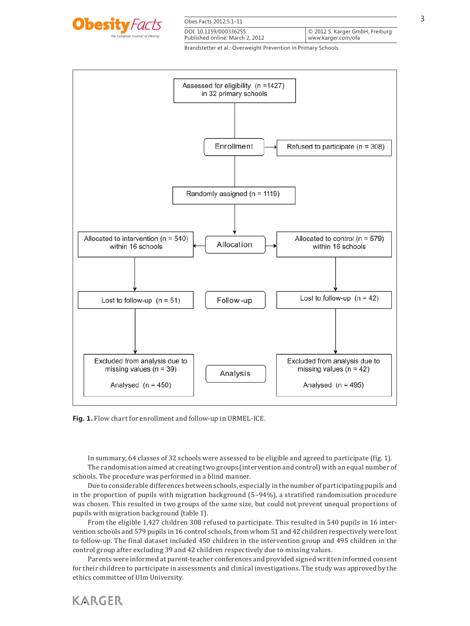

| Obes Facts 2012;5:1-11          |                                 |
|---------------------------------|---------------------------------|
| DOI: 10.1159/000336255          | © 2012 S. Karger GmbH, Freiburg |
| Published online: March 2, 2012 | www.karger.com/ofa              |



**Fig. 1.** Flow chart for enrollment and follow-up in URMEL-ICE.

In summary, 64 classes of 32 schools were assessed to be eligible and agreed to participate (fig. 1). The randomisation aimed at creating two groups (intervention and control) with an equal number of schools. The procedure was performed in a blind manner.

 Due to considerable differences between schools, especially in the number of participating pupils and in the proportion of pupils with migration background (5–94%), a stratified randomisation procedure was chosen. This resulted in two groups of the same size, but could not prevent unequal proportions of pupils with migration background (table 1).

 From the eligible 1,427 children 308 refused to participate. This resulted in 540 pupils in 16 intervention schools and 579 pupils in 16 control schools, from whom 51 and 42 children respectively were lost to follow-up. The final dataset included 450 children in the intervention group and 495 children in the control group after excluding 39 and 42 children respectively due to missing values.

 Parents were informed at parent-teacher conferences and provided signed written informed consent for their children to participate in assessments and clinical investigations. The study was approved by the ethics committee of Ulm University.

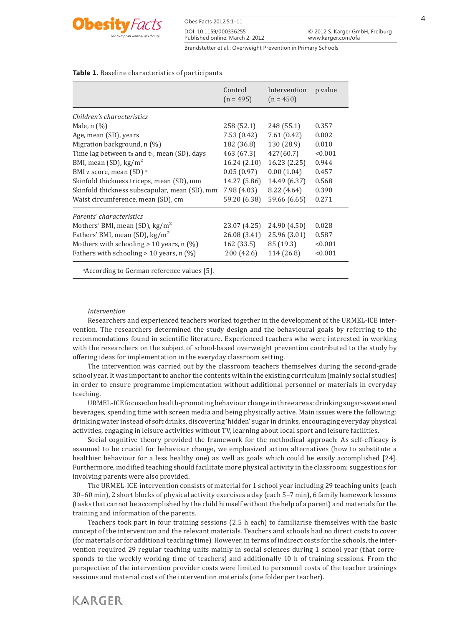

| Obes Facts 2012;5:1-11          |                                 |
|---------------------------------|---------------------------------|
| DOI: 10.1159/000336255          | © 2012 S. Karger GmbH, Freiburg |
| Published online: March 2, 2012 | www.karger.com/ofa              |

#### **Table 1.** Baseline characteristics of participants

|                                                 | Control<br>$(n = 495)$ | Intervention<br>$(n = 450)$ | p value |
|-------------------------------------------------|------------------------|-----------------------------|---------|
| Children's characteristics                      |                        |                             |         |
| Male, $n$ $(\%)$                                | 258 (52.1)             | 248 (55.1)                  | 0.357   |
| Age, mean (SD), years                           | 7.53(0.42)             | 7.61(0.42)                  | 0.002   |
| Migration background, $n$ (%)                   | 182 (36.8)             | 130 (28.9)                  | 0.010   |
| Time lag between to and $t_1$ , mean (SD), days | 463 (67.3)             | 427(60.7)                   | < 0.001 |
| BMI, mean (SD), kg/m <sup>2</sup>               | 16.24(2.10)            | 16.23(2.25)                 | 0.944   |
| BMI z score, mean (SD) a                        | 0.05(0.97)             | 0.00(1.04)                  | 0.457   |
| Skinfold thickness triceps, mean (SD), mm       | 14.27 (5.86)           | 14.49 (6.37)                | 0.568   |
| Skinfold thickness subscapular, mean (SD), mm   | 7.98(4.03)             | 8.22 (4.64)                 | 0.390   |
| Waist circumference, mean (SD), cm              | 59.20 (6.38)           | 59.66 (6.65)                | 0.271   |
| Parents' characteristics                        |                        |                             |         |
| Mothers' BMI, mean (SD), $\text{kg/m}^2$        | 23.07 (4.25)           | 24.90 (4.50)                | 0.028   |
| Fathers' BMI, mean (SD), kg/m <sup>2</sup>      | 26.08 (3.41)           | 25.96 (3.01)                | 0.587   |
| Mothers with schooling $> 10$ years, n (%)      | 162 (33.5)             | 85 (19.3)                   | < 0.001 |
| Fathers with schooling $> 10$ years, n (%)      | 200 (42.6)             | 114 (26.8)                  | < 0.001 |

aAccording to German reference values [5].

#### *Intervention*

 Researchers and experienced teachers worked together in the development of the URMEL-ICE intervention. The researchers determined the study design and the behavioural goals by referring to the recommendations found in scientific literature. Experienced teachers who were interested in working with the researchers on the subject of school-based overweight prevention contributed to the study by offering ideas for implementation in the everyday classroom setting.

 The intervention was carried out by the classroom teachers themselves during the second-grade school year. It was important to anchor the contents within the existing curriculum (mainly social studies) in order to ensure programme implementation without additional personnel or materials in everyday teaching.

 URMEL-ICE focused on health-promoting behaviour change in three areas: drinking sugar-sweetened beverages, spending time with screen media and being physically active. Main issues were the following: drinking water instead of soft drinks, discovering 'hidden' sugar in drinks, encouraging everyday physical activities, engaging in leisure activities without TV, learning about local sport and leisure facilities.

 Social cognitive theory provided the framework for the methodical approach: As self-efficacy is assumed to be crucial for behaviour change, we emphasized action alternatives (how to substitute a healthier behaviour for a less healthy one) as well as goals which could be easily accomplished [24] . Furthermore, modified teaching should facilitate more physical activity in the classroom; suggestions for involving parents were also provided.

 The URMEL-ICE-intervention consists of material for 1 school year including 29 teaching units (each 30–60 min), 2 short blocks of physical activity exercises a day (each 5–7 min), 6 family homework lessons (tasks that cannot be accomplished by the child himself without the help of a parent) and materials for the training and information of the parents.

 Teachers took part in four training sessions (2.5 h each) to familiarise themselves with the basic concept of the intervention and the relevant materials. Teachers and schools had no direct costs to cover (for materials or for additional teaching time). However, in terms of indirect costs for the schools, the intervention required 29 regular teaching units mainly in social sciences during 1 school year (that corresponds to the weekly working time of teachers) and additionally 10 h of training sessions. From the perspective of the intervention provider costs were limited to personnel costs of the teacher trainings sessions and material costs of the intervention materials (one folder per teacher).

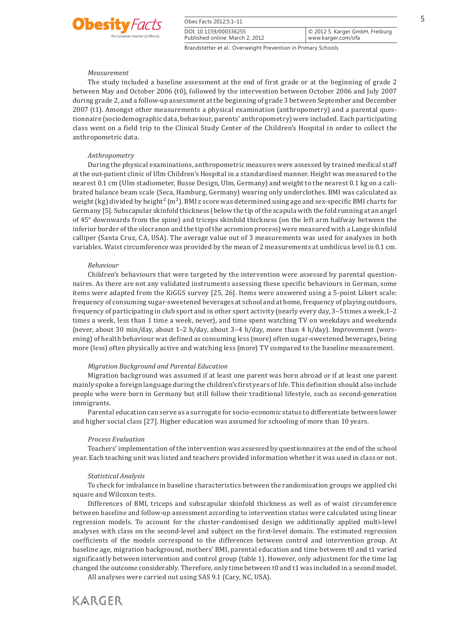

| Obes Facts 2012;5:1-11          |                                 |
|---------------------------------|---------------------------------|
| DOI: 10.1159/000336255          | © 2012 S. Karger GmbH, Freiburg |
| Published online: March 2, 2012 | www.karger.com/ofa              |

#### *Measurement*

 The study included a baseline assessment at the end of first grade or at the beginning of grade 2 between May and October 2006 (t0), followed by the intervention between October 2006 and July 2007 during grade 2, and a follow-up assessment at the beginning of grade 3 between September and December 2007 (t1). Amongst other measurements a physical examination (anthropometry) and a parental questionnaire (sociodemographic data, behaviour, parents' anthropometry) were included. Each participating class went on a field trip to the Clinical Study Center of the Children's Hospital in order to collect the anthropometric data.

#### *Anthropometry*

 During the physical examinations, anthropometric measures were assessed by trained medical staff at the out-patient clinic of Ulm Children's Hospital in a standardised manner. Height was measured to the nearest 0.1 cm (Ulm stadiometer, Busse Design, Ulm, Germany) and weight to the nearest 0.1 kg on a calibrated balance beam scale (Seca, Hamburg, Germany) wearing only underclothes. BMI was calculated as weight (kg) divided by height<sup>2</sup> (m<sup>2</sup>). BMI z score was determined using age and sex-specific BMI charts for Germany [5] . Subscapular skinfold thickness (below the tip of the scapula with the fold running at an angel of 45° downwards from the spine) and triceps skinfold thickness (on the left arm halfway between the inferior border of the olecranon and the tip of the acromion process) were measured with a Lange skinfold calliper (Santa Cruz, CA, USA). The average value out of 3 measurements was used for analyses in both variables. Waist circumference was provided by the mean of 2 measurements at umbilicus level in 0.1 cm.

#### *Behaviour*

 Children's behaviours that were targeted by the intervention were assessed by parental questionnaires. As there are not any validated instruments assessing these specific behaviours in German, some items were adapted from the KiGGS survey [25, 26] . Items were answered using a 5-point Likert scale: frequency of consuming sugar-sweetened beverages at school and at home, frequency of playing outdoors, frequency of participating in club sport and in other sport activity (nearly every day, 3–5 times a week,1–2 times a week, less than 1 time a week, never), and time spent watching TV on weekdays and weekends (never, about 30 min/day, about 1–2 h/day, about 3–4 h/day, more than 4 h/day). Improvement (worsening) of health behaviour was defined as consuming less (more) often sugar-sweetened beverages, being more (less) often physically active and watching less (more) TV compared to the baseline measurement.

#### *Migration Background and Parental Education*

 Migration background was assumed if at least one parent was born abroad or if at least one parent mainly spoke a foreign language during the children's first years of life. This definition should also include people who were born in Germany but still follow their traditional lifestyle, such as second-generation immigrants.

 Parental education can serve as a surrogate for socio-economic status to differentiate between lower and higher social class [27] . Higher education was assumed for schooling of more than 10 years.

#### *Process Evaluation*

 Teachers' implementation of the intervention was assessed by questionnaires at the end of the school year. Each teaching unit was listed and teachers provided information whether it was used in class or not.

#### *Statistical Analysis*

 To check for imbalance in baseline characteristics between the randomisation groups we applied chi square and Wilcoxon tests.

 Differences of BMI, triceps and subscapular skinfold thickness as well as of waist circumference between baseline and follow-up assessment according to intervention status were calculated using linear regression models. To account for the cluster-randomised design we additionally applied multi-level analyses with class on the second-level and subject on the first-level domain. The estimated regression coefficients of the models correspond to the differences between control and intervention group. At baseline age, migration background, mothers' BMI, parental education and time between t0 and t1 varied significantly between intervention and control group (table 1). However, only adjustment for the time lag changed the outcome considerably. Therefore, only time between t0 and t1 was included in a second model.

All analyses were carried out using SAS 9.1 (Cary, NC, USA).

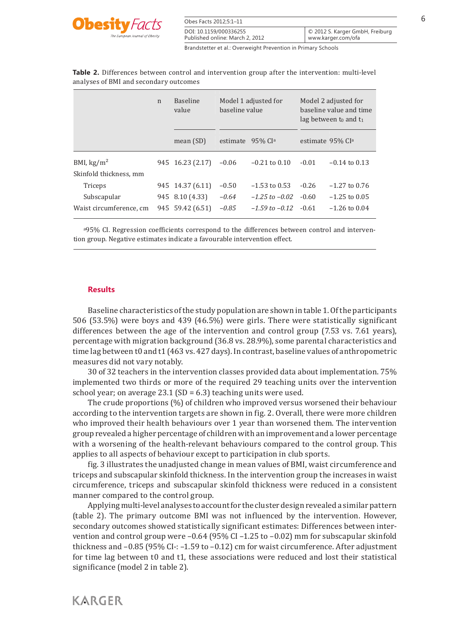

| Obes Facts 2012;5:1-11                                        |                                                       |
|---------------------------------------------------------------|-------------------------------------------------------|
| DOI: 10.1159/000336255<br>Published online: March 2, 2012     | © 2012 S. Karger GmbH, Freiburg<br>www.karger.com/ofa |
| Brandstetter et al.: Overweight Prevention in Primary Schools |                                                       |

| analyses of BMI and secondary outcomes |             |                          |                                        |                                                                             |
|----------------------------------------|-------------|--------------------------|----------------------------------------|-----------------------------------------------------------------------------|
|                                        | $\mathbf n$ | <b>Baseline</b><br>value | Model 1 adjusted for<br>baseline value | Model 2 adjusted for<br>baseline value and time<br>lag between to and $t_1$ |
|                                        |             | mean $(SD)$              | estimate 95% CI <sup>a</sup>           | estimate 95% CI <sup>a</sup>                                                |

BMI,  $\text{kg/m}^2$  945 16.23 (2.17) -0.06 -0.21 to 0.10 -0.01 -0.14 to 0.13

Triceps 945 14.37 (6.11) –0.50 –1.53 to 0.53 -0.26 –1.27 to 0.76 Subscapular 945 8.10 (4.33) *–0.64 –1.25 to –0.02* -0.60 –1.25 to 0.05 Waist circumference, cm 945 59.42 (6.51) *–0.85 –1.59 to –0.12* -0.61 –1.26 to 0.04

**Table 2.** Differences between control and intervention group after the intervention: multi-level

a95% CI. Regression coefficients correspond to the differences between control and intervention group. Negative estimates indicate a favourable intervention effect.

### **Results**

Skinfold thickness, mm

Baseline characteristics of the study population are shown in table 1. Of the participants 506 (53.5%) were boys and 439 (46.5%) were girls. There were statistically significant differences between the age of the intervention and control group (7.53 vs. 7.61 years), percentage with migration background (36.8 vs. 28.9%), some parental characteristics and time lag between t0 and t1 (463 vs. 427 days). In contrast, baseline values of anthropometric measures did not vary notably.

 30 of 32 teachers in the intervention classes provided data about implementation. 75% implemented two thirds or more of the required 29 teaching units over the intervention school year; on average  $23.1$  (SD = 6.3) teaching units were used.

 The crude proportions (%) of children who improved versus worsened their behaviour according to the intervention targets are shown in fig. 2 . Overall, there were more children who improved their health behaviours over 1 year than worsened them. The intervention group revealed a higher percentage of children with an improvement and a lower percentage with a worsening of the health-relevant behaviours compared to the control group. This applies to all aspects of behaviour except to participation in club sports.

 fig. 3 illustrates the unadjusted change in mean values of BMI, waist circumference and triceps and subscapular skinfold thickness. In the intervention group the increases in waist circumference, triceps and subscapular skinfold thickness were reduced in a consistent manner compared to the control group.

 Applying multi-level analyses to account for the cluster design revealed a similar pattern (table 2). The primary outcome BMI was not influenced by the intervention. However, secondary outcomes showed statistically significant estimates: Differences between intervention and control group were –0.64 (95% CI –1.25 to –0.02) mm for subscapular skinfold thickness and  $-0.85$  (95% CI-:  $-1.59$  to  $-0.12$ ) cm for waist circumference. After adjustment for time lag between t0 and t1, these associations were reduced and lost their statistical significance (model 2 in table 2).

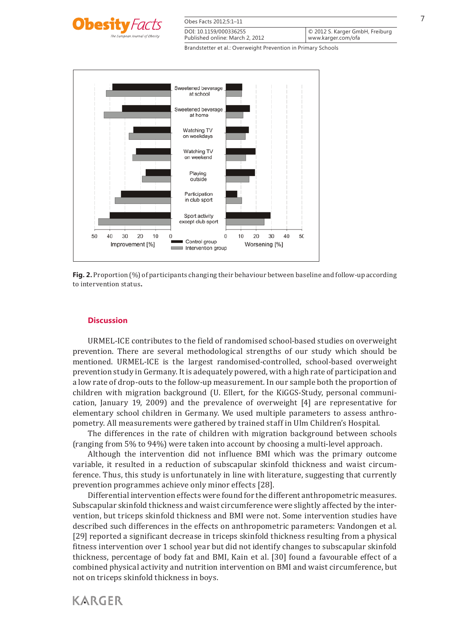

| Obes Facts 2012:5:1-11          |                                 |
|---------------------------------|---------------------------------|
| DOI: 10.1159/000336255          | © 2012 S. Karger GmbH, Freiburg |
| Published online: March 2, 2012 | www.karger.com/ofa              |





# **Discussion**

 URMEL-ICE contributes to the field of randomised school-based studies on overweight prevention. There are several methodological strengths of our study which should be mentioned. URMEL-ICE is the largest randomised-controlled, school-based overweight prevention study in Germany. It is adequately powered, with a high rate of participation and a low rate of drop-outs to the follow-up measurement. In our sample both the proportion of children with migration background (U. Ellert, for the KiGGS-Study, personal communication, January 19, 2009) and the prevalence of overweight [4] are representative for elementary school children in Germany. We used multiple parameters to assess anthropometry. All measurements were gathered by trained staff in Ulm Children's Hospital.

 The differences in the rate of children with migration background between schools (ranging from 5% to 94%) were taken into account by choosing a multi-level approach.

 Although the intervention did not influence BMI which was the primary outcome variable, it resulted in a reduction of subscapular skinfold thickness and waist circumference. Thus, this study is unfortunately in line with literature, suggesting that currently prevention programmes achieve only minor effects [28] .

 Differential intervention effects were found for the different anthropometric measures. Subscapular skinfold thickness and waist circumference were slightly affected by the intervention, but triceps skinfold thickness and BMI were not. Some intervention studies have described such differences in the effects on anthropometric parameters: Vandongen et al. [29] reported a significant decrease in triceps skinfold thickness resulting from a physical fitness intervention over 1 school year but did not identify changes to subscapular skinfold thickness, percentage of body fat and BMI, Kain et al. [30] found a favourable effect of a combined physical activity and nutrition intervention on BMI and waist circumference, but not on triceps skinfold thickness in boys.

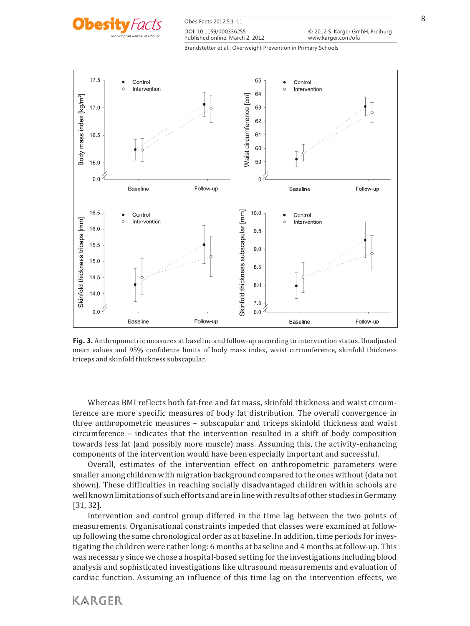

| Obes Facts 2012;5:1-11          |                                 |
|---------------------------------|---------------------------------|
| DOI: 10.1159/000336255          | © 2012 S. Karger GmbH, Freiburg |
| Published online: March 2, 2012 | www.karger.com/ofa              |



**Fig. 3.** Anthropometric measures at baseline and follow-up according to intervention status. Unadjusted mean values and 95% confidence limits of body mass index, waist circumference, skinfold thickness triceps and skinfold thickness subscapular.

 Whereas BMI reflects both fat-free and fat mass, skinfold thickness and waist circumference are more specific measures of body fat distribution. The overall convergence in three anthropometric measures – subscapular and triceps skinfold thickness and waist circumference – indicates that the intervention resulted in a shift of body composition towards less fat (and possibly more muscle) mass. Assuming this, the activity-enhancing components of the intervention would have been especially important and successful.

 Overall, estimates of the intervention effect on anthropometric parameters were smaller among children with migration background compared to the ones without (data not shown). These difficulties in reaching socially disadvantaged children within schools are well known limitations of such efforts and are in line with results of other studies in Germany [31, 32].

 Intervention and control group differed in the time lag between the two points of measurements. Organisational constraints impeded that classes were examined at followup following the same chronological order as at baseline. In addition, time periods for investigating the children were rather long: 6 months at baseline and 4 months at follow-up. This was necessary since we chose a hospital-based setting for the investigations including blood analysis and sophisticated investigations like ultrasound measurements and evaluation of cardiac function. Assuming an influence of this time lag on the intervention effects, we

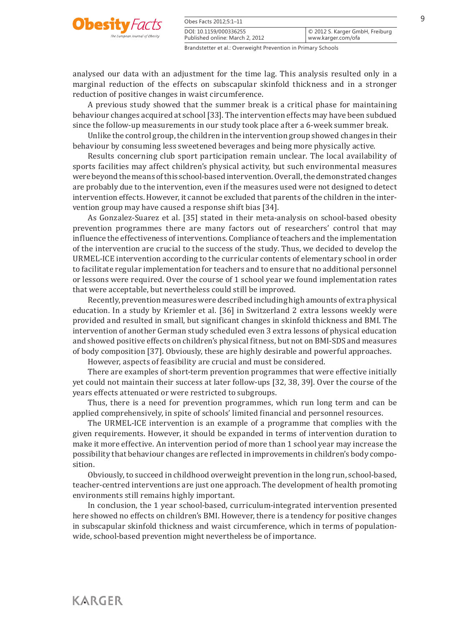

| Obes Facts 2012;5:1-11          |                                 |
|---------------------------------|---------------------------------|
| DOI: 10.1159/000336255          | © 2012 S. Karger GmbH, Freiburg |
| Published online: March 2, 2012 | www.karger.com/ofa              |

analysed our data with an adjustment for the time lag. This analysis resulted only in a marginal reduction of the effects on subscapular skinfold thickness and in a stronger reduction of positive changes in waist circumference.

 A previous study showed that the summer break is a critical phase for maintaining behaviour changes acquired at school [33] . The intervention effects may have been subdued since the follow-up measurements in our study took place after a 6-week summer break.

 Unlike the control group, the children in the intervention group showed changes in their behaviour by consuming less sweetened beverages and being more physically active.

 Results concerning club sport participation remain unclear. The local availability of sports facilities may affect children's physical activity, but such environmental measures were beyond the means of this school-based intervention. Overall, the demonstrated changes are probably due to the intervention, even if the measures used were not designed to detect intervention effects. However, it cannot be excluded that parents of the children in the intervention group may have caused a response shift bias [34] .

 As Gonzalez-Suarez et al. [35] stated in their meta-analysis on school-based obesity prevention programmes there are many factors out of researchers' control that may influence the effectiveness of interventions. Compliance of teachers and the implementation of the intervention are crucial to the success of the study. Thus, we decided to develop the URMEL-ICE intervention according to the curricular contents of elementary school in order to facilitate regular implementation for teachers and to ensure that no additional personnel or lessons were required. Over the course of 1 school year we found implementation rates that were acceptable, but nevertheless could still be improved.

 Recently, prevention measures were described including high amounts of extra physical education. In a study by Kriemler et al. [36] in Switzerland 2 extra lessons weekly were provided and resulted in small, but significant changes in skinfold thickness and BMI. The intervention of another German study scheduled even 3 extra lessons of physical education and showed positive effects on children's physical fitness, but not on BMI-SDS and measures of body composition [37] . Obviously, these are highly desirable and powerful approaches.

However, aspects of feasibility are crucial and must be considered.

 There are examples of short-term prevention programmes that were effective initially yet could not maintain their success at later follow-ups [32, 38, 39] . Over the course of the years effects attenuated or were restricted to subgroups.

 Thus, there is a need for prevention programmes, which run long term and can be applied comprehensively, in spite of schools' limited financial and personnel resources.

 The URMEL-ICE intervention is an example of a programme that complies with the given requirements. However, it should be expanded in terms of intervention duration to make it more effective. An intervention period of more than 1 school year may increase the possibility that behaviour changes are reflected in improvements in children's body composition.

 Obviously, to succeed in childhood overweight prevention in the long run, school-based, teacher-centred interventions are just one approach. The development of health promoting environments still remains highly important.

 In conclusion, the 1 year school-based, curriculum-integrated intervention presented here showed no effects on children's BMI. However, there is a tendency for positive changes in subscapular skinfold thickness and waist circumference, which in terms of populationwide, school-based prevention might nevertheless be of importance.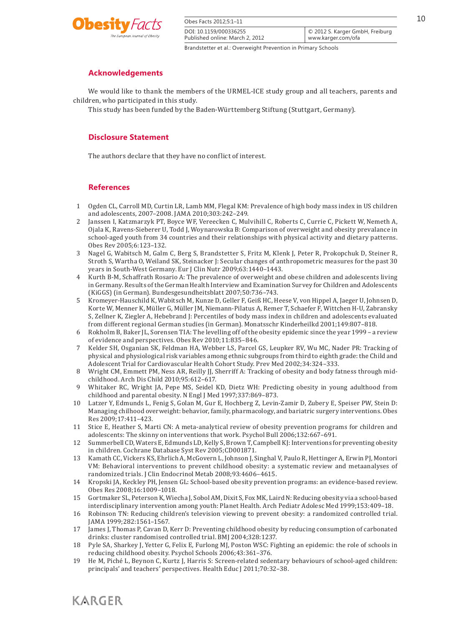

| Obes Facts 2012;5:1-11                                        |                                                       |
|---------------------------------------------------------------|-------------------------------------------------------|
| DOI: 10.1159/000336255<br>Published online: March 2, 2012     | C 2012 S. Karger GmbH, Freiburg<br>www.karger.com/ofa |
| Brandstetter et al.: Overweight Prevention in Primary Schools |                                                       |

# **Acknowledgements**

 We would like to thank the members of the URMEL-ICE study group and all teachers, parents and children, who participated in this study.

This study has been funded by the Baden-Württemberg Stiftung (Stuttgart, Germany).

# **Disclosure Statement**

The authors declare that they have no conflict of interest.

# **References**

- 1 Ogden CL, Carroll MD, Curtin LR, Lamb MM, Flegal KM: Prevalence of high body mass index in US children and adolescents, 2007–2008. JAMA 2010;303:242–249.
- 2 Janssen I, Katzmarzyk PT, Boyce WF, Vereecken C, Mulvihill C, Roberts C, Currie C, Pickett W, Nemeth A, Ojala K, Ravens-Sieberer U, Todd J, Woynarowska B: Comparison of overweight and obesity prevalance in school-aged youth from 34 countries and their relationships with physical activity and dietary patterns. Obes Rev 2005;6:123–132.
- 3 Nagel G, Wabitsch M, Galm C, Berg S, Brandstetter S, Fritz M, Klenk J, Peter R, Prokopchuk D, Steiner R, Stroth S, Wartha O, Weiland SK, Steinacker J: Secular changes of anthropometric measures for the past 30 years in South-West Germany. Eur J Clin Nutr 2009;63:1440–1443.
- 4 Kurth B-M, Schaffrath Rosario A: The prevalence of overweight and obese children and adolescents living in Germany. Results of the German Health Interview and Examination Survey for Children and Adolescents (KiGGS) (in German). Bundesgesundheitsblatt 2007;50:736–743.
- 5 Kromeyer-Hauschild K, Wabitsch M, Kunze D, Geller F, Geiß HC, Heese V, von Hippel A, Jaeger U, Johnsen D, Korte W, Menner K, Müller G, Müller JM, Niemann-Pilatus A, Remer T, Schaefer F, Wittchen H-U, Zabransky S, Zellner K, Ziegler A, Hebebrand J: Percentiles of body mass index in children and adolescents evaluated from different regional German studies (in German). Monatsschr Kinderheilkd 2001;149:807–818.
- 6 Rokholm B, Baker JL, Sorensen TIA: The levelling off of the obesity epidemic since the year 1999 a review of evidence and perspectives. Obes Rev 2010;11:835–846.
- 7 Kelder SH, Osganian SK, Feldman HA, Webber LS, Parcel GS, Leupker RV, Wu MC, Nader PR: Tracking of physical and physiological risk variables among ethnic subgroups from third to eighth grade: the Child and Adolescent Trial for Cardiovascular Health Cohort Study. Prev Med 2002;34:324–333.
- 8 Wright CM, Emmett PM, Ness AR, Reilly JJ, Sherriff A: Tracking of obesity and body fatness through midchildhood. Arch Dis Child 2010;95:612–617.
- 9 Whitaker RC, Wright JA, Pepe MS, Seidel KD, Dietz WH: Predicting obesity in young adulthood from childhood and parental obesity. N Engl J Med 1997;337:869–873.
- 10 Latzer Y, Edmunds L, Fenig S, Golan M, Gur E, Hochberg Z, Levin-Zamir D, Zubery E, Speiser PW, Stein D: Managing chilhood overweight: behavior, family, pharmacology, and bariatric surgery interventions. Obes Res 2009;17:411–423.
- 11 Stice E, Heather S, Marti CN: A meta-analytical review of obesity prevention programs for children and adolescents: The skinny on interventions that work. Psychol Bull 2006;132:667–691.
- 12 Summerbell CD, Waters E, Edmunds LD, Kelly S, Brown T, Campbell KJ: Interventions for preventing obesity in children. Cochrane Database Syst Rev 2005;CD001871.
- 13 Kamath CC, Vickers KS, Ehrlich A, McGovern L, Johnson J, Singhal V, Paulo R, Hettinger A, Erwin PJ, Montori VM: Behavioral interventions to prevent childhood obesity: a systematic review and metaanalyses of randomized trials. J Clin Endocrinol Metab 2008;93:4606–4615.
- 14 Kropski JA, Keckley PH, Jensen GL: School-based obesity prevention programs: an evidence-based review. Obes Res 2008;16:1009–1018.
- 15 Gortmaker SL, Peterson K, Wiecha J, Sobol AM, Dixit S, Fox MK, Laird N: Reducing obesity via a school-based interdisciplinary intervention among youth: Planet Health. Arch Pediatr Adolesc Med 1999;153:409–18.
- 16 Robinson TN: Reducing children's television viewing to prevent obesity: a randomized controlled trial. JAMA 1999;282:1561–1567.
- 17 James J, Thomas P, Cavan D, Kerr D: Preventing childhood obesity by reducing consumption of carbonated drinks: cluster randomised controlled trial. BMJ 2004;328:1237.
- 18 Pyle SA, Sharkey J, Yetter G, Felix E, Furlong MJ, Poston WSC: Fighting an epidemic: the role of schools in reducing childhood obesity. Psychol Schools 2006;43:361–376.
- 19 He M, Piché L, Beynon C, Kurtz J, Harris S: Screen-related sedentary behaviours of school-aged children: principals' and teachers' perspectives. Health Educ J 2011;70:32–38.